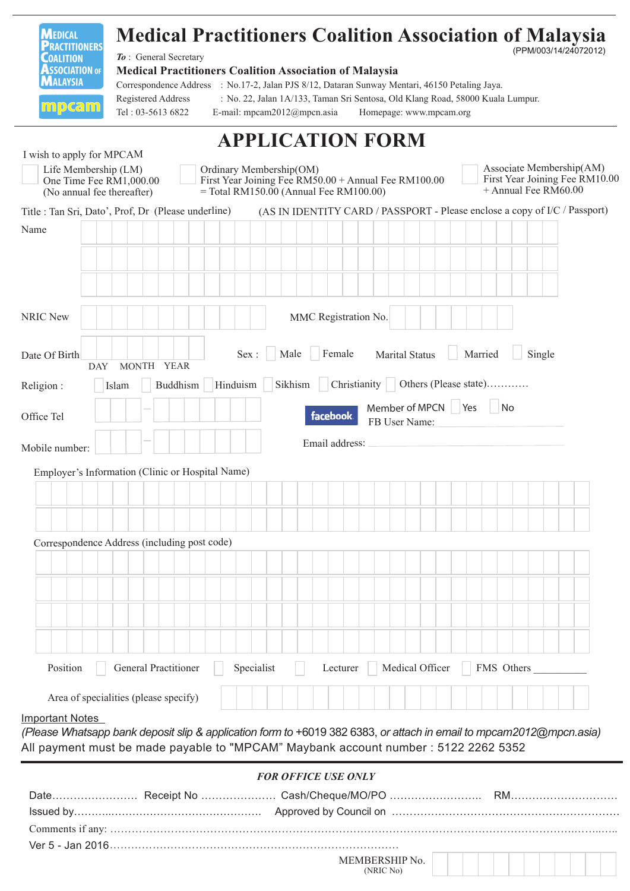| <b>MEDICAL</b><br><b>PRACTITIONERS</b>                                                                                                                                                                     |       |                                         |  |                       |  |                                                                                                                             | <b>Medical Practitioners Coalition Association of Malaysia</b>                                                                                                   |                                                |  |                      |  |  |                                       |  |                 |  |  |         |                             |                                                                                      |        |  | (PPM/003/14/24072012)                                                      |  |  |
|------------------------------------------------------------------------------------------------------------------------------------------------------------------------------------------------------------|-------|-----------------------------------------|--|-----------------------|--|-----------------------------------------------------------------------------------------------------------------------------|------------------------------------------------------------------------------------------------------------------------------------------------------------------|------------------------------------------------|--|----------------------|--|--|---------------------------------------|--|-----------------|--|--|---------|-----------------------------|--------------------------------------------------------------------------------------|--------|--|----------------------------------------------------------------------------|--|--|
| <b>COALITION</b><br><b>ASSOCIATION OF</b><br><b>MALAYSIA</b>                                                                                                                                               |       |                                         |  | To: General Secretary |  |                                                                                                                             | <b>Medical Practitioners Coalition Association of Malaysia</b><br>Correspondence Address : No.17-2, Jalan PJS 8/12, Dataran Sunway Mentari, 46150 Petaling Jaya. |                                                |  |                      |  |  |                                       |  |                 |  |  |         |                             |                                                                                      |        |  |                                                                            |  |  |
| <u>mpcam</u>                                                                                                                                                                                               |       | Registered Address<br>Tel: 03-5613 6822 |  |                       |  |                                                                                                                             | : No. 22, Jalan 1A/133, Taman Sri Sentosa, Old Klang Road, 58000 Kuala Lumpur.<br>E-mail: mpcam $2012@$ mpcn.asia                                                |                                                |  |                      |  |  | Homepage: www.mpcam.org               |  |                 |  |  |         |                             |                                                                                      |        |  |                                                                            |  |  |
|                                                                                                                                                                                                            |       |                                         |  |                       |  |                                                                                                                             | <b>APPLICATION FORM</b>                                                                                                                                          |                                                |  |                      |  |  |                                       |  |                 |  |  |         |                             |                                                                                      |        |  |                                                                            |  |  |
| I wish to apply for MPCAM                                                                                                                                                                                  |       |                                         |  |                       |  |                                                                                                                             |                                                                                                                                                                  |                                                |  |                      |  |  |                                       |  |                 |  |  |         |                             |                                                                                      |        |  |                                                                            |  |  |
| Life Membership (LM)<br>One Time Fee RM1,000.00<br>(No annual fee thereafter)                                                                                                                              |       |                                         |  |                       |  | Ordinary Membership(OM)<br>First Year Joining Fee RM50.00 + Annual Fee RM100.00<br>$=$ Total RM150.00 (Annual Fee RM100.00) |                                                                                                                                                                  |                                                |  |                      |  |  |                                       |  |                 |  |  |         |                             | Associate Membership(AM)<br>First Year Joining Fee RM10.00<br>$+$ Annual Fee RM60.00 |        |  |                                                                            |  |  |
| Title : Tan Sri, Dato', Prof, Dr (Please underline)                                                                                                                                                        |       |                                         |  |                       |  |                                                                                                                             |                                                                                                                                                                  |                                                |  |                      |  |  |                                       |  |                 |  |  |         |                             |                                                                                      |        |  | (AS IN IDENTITY CARD / PASSPORT - Please enclose a copy of I/C / Passport) |  |  |
| Name                                                                                                                                                                                                       |       |                                         |  |                       |  |                                                                                                                             |                                                                                                                                                                  |                                                |  |                      |  |  |                                       |  |                 |  |  |         |                             |                                                                                      |        |  |                                                                            |  |  |
|                                                                                                                                                                                                            |       |                                         |  |                       |  |                                                                                                                             |                                                                                                                                                                  |                                                |  |                      |  |  |                                       |  |                 |  |  |         |                             |                                                                                      |        |  |                                                                            |  |  |
| <b>NRIC New</b>                                                                                                                                                                                            |       |                                         |  |                       |  |                                                                                                                             |                                                                                                                                                                  |                                                |  | MMC Registration No. |  |  |                                       |  |                 |  |  |         |                             |                                                                                      |        |  |                                                                            |  |  |
|                                                                                                                                                                                                            |       |                                         |  |                       |  |                                                                                                                             |                                                                                                                                                                  |                                                |  |                      |  |  |                                       |  |                 |  |  |         |                             |                                                                                      |        |  |                                                                            |  |  |
| Date Of Birth<br><b>DAY</b>                                                                                                                                                                                |       | MONTH YEAR                              |  |                       |  | Sex:                                                                                                                        |                                                                                                                                                                  | Male                                           |  | Female               |  |  | <b>Marital Status</b>                 |  |                 |  |  | Married |                             |                                                                                      | Single |  |                                                                            |  |  |
| Religion:                                                                                                                                                                                                  | Islam |                                         |  | Buddhism              |  | Hinduism                                                                                                                    |                                                                                                                                                                  | Sikhism   Christianity   Others (Please state) |  |                      |  |  |                                       |  |                 |  |  |         |                             |                                                                                      |        |  |                                                                            |  |  |
| Office Tel                                                                                                                                                                                                 |       |                                         |  |                       |  |                                                                                                                             |                                                                                                                                                                  |                                                |  | <b>facebook</b>      |  |  | Member of MPCN   Yes<br>FB User Name: |  |                 |  |  |         | $\overline{\phantom{a}}$ No |                                                                                      |        |  |                                                                            |  |  |
| Mobile number:                                                                                                                                                                                             |       |                                         |  |                       |  |                                                                                                                             |                                                                                                                                                                  |                                                |  | Email address:       |  |  |                                       |  |                 |  |  |         |                             |                                                                                      |        |  |                                                                            |  |  |
| Employer's Information (Clinic or Hospital Name)                                                                                                                                                           |       |                                         |  |                       |  |                                                                                                                             |                                                                                                                                                                  |                                                |  |                      |  |  |                                       |  |                 |  |  |         |                             |                                                                                      |        |  |                                                                            |  |  |
|                                                                                                                                                                                                            |       |                                         |  |                       |  |                                                                                                                             |                                                                                                                                                                  |                                                |  |                      |  |  |                                       |  |                 |  |  |         |                             |                                                                                      |        |  |                                                                            |  |  |
|                                                                                                                                                                                                            |       |                                         |  |                       |  |                                                                                                                             |                                                                                                                                                                  |                                                |  |                      |  |  |                                       |  |                 |  |  |         |                             |                                                                                      |        |  |                                                                            |  |  |
| Correspondence Address (including post code)                                                                                                                                                               |       |                                         |  |                       |  |                                                                                                                             |                                                                                                                                                                  |                                                |  |                      |  |  |                                       |  |                 |  |  |         |                             |                                                                                      |        |  |                                                                            |  |  |
|                                                                                                                                                                                                            |       |                                         |  |                       |  |                                                                                                                             |                                                                                                                                                                  |                                                |  |                      |  |  |                                       |  |                 |  |  |         |                             |                                                                                      |        |  |                                                                            |  |  |
|                                                                                                                                                                                                            |       |                                         |  |                       |  |                                                                                                                             |                                                                                                                                                                  |                                                |  |                      |  |  |                                       |  |                 |  |  |         |                             |                                                                                      |        |  |                                                                            |  |  |
|                                                                                                                                                                                                            |       |                                         |  |                       |  |                                                                                                                             |                                                                                                                                                                  |                                                |  |                      |  |  |                                       |  |                 |  |  |         |                             |                                                                                      |        |  |                                                                            |  |  |
|                                                                                                                                                                                                            |       |                                         |  |                       |  |                                                                                                                             |                                                                                                                                                                  |                                                |  |                      |  |  |                                       |  |                 |  |  |         |                             |                                                                                      |        |  |                                                                            |  |  |
|                                                                                                                                                                                                            |       |                                         |  |                       |  |                                                                                                                             |                                                                                                                                                                  |                                                |  |                      |  |  |                                       |  |                 |  |  |         |                             |                                                                                      |        |  |                                                                            |  |  |
| Position                                                                                                                                                                                                   |       | General Practitioner                    |  |                       |  |                                                                                                                             | Specialist                                                                                                                                                       |                                                |  | Lecturer             |  |  |                                       |  | Medical Officer |  |  |         |                             | FMS Others                                                                           |        |  |                                                                            |  |  |
| Area of specialities (please specify)                                                                                                                                                                      |       |                                         |  |                       |  |                                                                                                                             |                                                                                                                                                                  |                                                |  |                      |  |  |                                       |  |                 |  |  |         |                             |                                                                                      |        |  |                                                                            |  |  |
| <b>Important Notes</b>                                                                                                                                                                                     |       |                                         |  |                       |  |                                                                                                                             |                                                                                                                                                                  |                                                |  |                      |  |  |                                       |  |                 |  |  |         |                             |                                                                                      |        |  |                                                                            |  |  |
| (Please Whatsapp bank deposit slip & application form to +6019 382 6383, or attach in email to mpcam2012@mpcn.asia)<br>All payment must be made payable to "MPCAM" Maybank account number : 5122 2262 5352 |       |                                         |  |                       |  |                                                                                                                             |                                                                                                                                                                  |                                                |  |                      |  |  |                                       |  |                 |  |  |         |                             |                                                                                      |        |  |                                                                            |  |  |
|                                                                                                                                                                                                            |       |                                         |  |                       |  |                                                                                                                             |                                                                                                                                                                  | <b>FOR OFFICE USE ONLY</b>                     |  |                      |  |  |                                       |  |                 |  |  |         |                             |                                                                                      |        |  |                                                                            |  |  |
|                                                                                                                                                                                                            |       |                                         |  |                       |  |                                                                                                                             |                                                                                                                                                                  |                                                |  |                      |  |  |                                       |  |                 |  |  |         |                             |                                                                                      |        |  |                                                                            |  |  |
|                                                                                                                                                                                                            |       |                                         |  |                       |  |                                                                                                                             |                                                                                                                                                                  |                                                |  |                      |  |  |                                       |  |                 |  |  |         |                             |                                                                                      |        |  |                                                                            |  |  |

| MEMBERSHIP No. |
|----------------|
| (NRIC No)      |